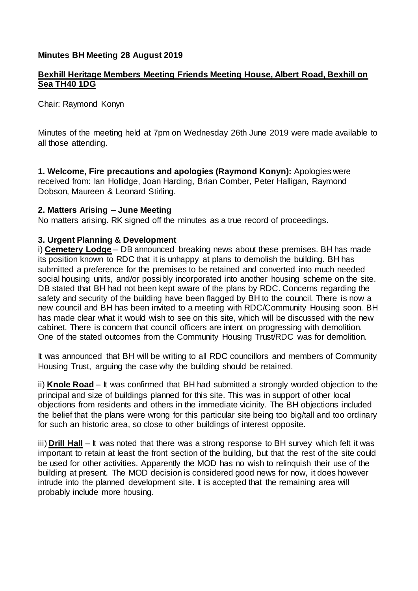### **Minutes BH Meeting 28 August 2019**

### **Bexhill Heritage Members Meeting Friends Meeting House, Albert Road, Bexhill on Sea TH40 1DG**

Chair: Raymond Konyn

Minutes of the meeting held at 7pm on Wednesday 26th June 2019 were made available to all those attending.

**1. Welcome, Fire precautions and apologies (Raymond Konyn):** Apologies were received from: Ian Hollidge, Joan Harding, Brian Comber, Peter Halligan, Raymond Dobson, Maureen & Leonard Stirling.

#### **2. Matters Arising – June Meeting**

No matters arising. RK signed off the minutes as a true record of proceedings.

#### **3. Urgent Planning & Development**

i) **Cemetery Lodge** – DB announced breaking news about these premises. BH has made its position known to RDC that it is unhappy at plans to demolish the building. BH has submitted a preference for the premises to be retained and converted into much needed social housing units, and/or possibly incorporated into another housing scheme on the site. DB stated that BH had not been kept aware of the plans by RDC. Concerns regarding the safety and security of the building have been flagged by BH to the council. There is now a new council and BH has been invited to a meeting with RDC/Community Housing soon. BH has made clear what it would wish to see on this site, which will be discussed with the new cabinet. There is concern that council officers are intent on progressing with demolition. One of the stated outcomes from the Community Housing Trust/RDC was for demolition.

It was announced that BH will be writing to all RDC councillors and members of Community Housing Trust, arguing the case why the building should be retained.

ii) **Knole Road** – It was confirmed that BH had submitted a strongly worded objection to the principal and size of buildings planned for this site. This was in support of other local objections from residents and others in the immediate vicinity. The BH objections included the belief that the plans were wrong for this particular site being too big/tall and too ordinary for such an historic area, so close to other buildings of interest opposite.

iii) **Drill Hall** – It was noted that there was a strong response to BH survey which felt it was important to retain at least the front section of the building, but that the rest of the site could be used for other activities. Apparently the MOD has no wish to relinquish their use of the building at present. The MOD decision is considered good news for now, it does however intrude into the planned development site. It is accepted that the remaining area will probably include more housing.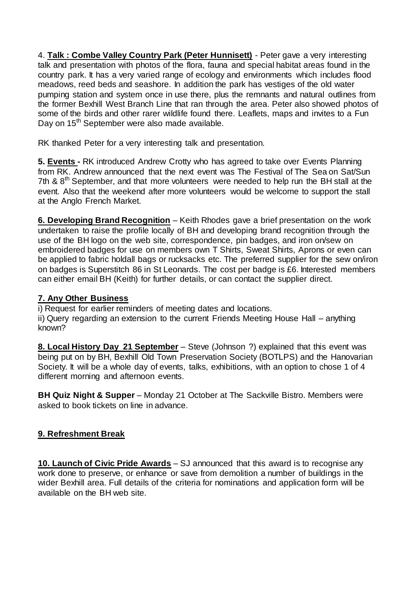4. **Talk : Combe Valley Country Park (Peter Hunnisett)** - Peter gave a very interesting talk and presentation with photos of the flora, fauna and special habitat areas found in the country park. It has a very varied range of ecology and environments which includes flood meadows, reed beds and seashore. In addition the park has vestiges of the old water pumping station and system once in use there, plus the remnants and natural outlines from the former Bexhill West Branch Line that ran through the area. Peter also showed photos of some of the birds and other rarer wildlife found there. Leaflets, maps and invites to a Fun Day on 15<sup>th</sup> September were also made available.

RK thanked Peter for a very interesting talk and presentation.

**5. Events -** RK introduced Andrew Crotty who has agreed to take over Events Planning from RK. Andrew announced that the next event was The Festival of The Sea on Sat/Sun 7th &  $8<sup>th</sup>$  September, and that more volunteers were needed to help run the BH stall at the event. Also that the weekend after more volunteers would be welcome to support the stall at the Anglo French Market.

**6. Developing Brand Recognition** – Keith Rhodes gave a brief presentation on the work undertaken to raise the profile locally of BH and developing brand recognition through the use of the BH logo on the web site, correspondence, pin badges, and iron on/sew on embroidered badges for use on members own T Shirts, Sweat Shirts, Aprons or even can be applied to fabric holdall bags or rucksacks etc. The preferred supplier for the sew on/iron on badges is Superstitch 86 in St Leonards. The cost per badge is £6. Interested members can either email BH (Keith) for further details, or can contact the supplier direct.

# **7. Any Other Business**

i) Request for earlier reminders of meeting dates and locations.

ii) Query regarding an extension to the current Friends Meeting House Hall – anything known?

**8. Local History Day 21 September** – Steve (Johnson ?) explained that this event was being put on by BH, Bexhill Old Town Preservation Society (BOTLPS) and the Hanovarian Society. It will be a whole day of events, talks, exhibitions, with an option to chose 1 of 4 different morning and afternoon events.

**BH Quiz Night & Supper** – Monday 21 October at The Sackville Bistro. Members were asked to book tickets on line in advance.

# **9. Refreshment Break**

**10. Launch of Civic Pride Awards** – SJ announced that this award is to recognise any work done to preserve, or enhance or save from demolition a number of buildings in the wider Bexhill area. Full details of the criteria for nominations and application form will be available on the BH web site.